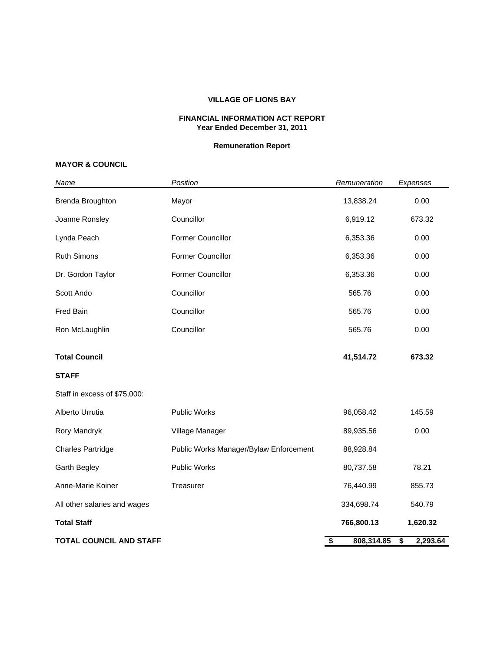#### **VILLAGE OF LIONS BAY**

#### **FINANCIAL INFORMATION ACT REPORT Year Ended December 31, 2011**

### **Remuneration Report**

## **MAYOR & COUNCIL**

| Name                           | Position                               | Remuneration     | Expenses       |
|--------------------------------|----------------------------------------|------------------|----------------|
| Brenda Broughton               | Mayor                                  | 13,838.24        | 0.00           |
| Joanne Ronsley                 | Councillor                             | 6,919.12         | 673.32         |
| Lynda Peach                    | Former Councillor                      | 6,353.36         | 0.00           |
| <b>Ruth Simons</b>             | Former Councillor                      | 6,353.36         | 0.00           |
| Dr. Gordon Taylor              | Former Councillor                      | 6,353.36         | 0.00           |
| Scott Ando                     | Councillor                             | 565.76           | 0.00           |
| Fred Bain                      | Councillor                             | 565.76           | 0.00           |
| Ron McLaughlin                 | Councillor                             | 565.76           | 0.00           |
| <b>Total Council</b>           |                                        | 41,514.72        | 673.32         |
| <b>STAFF</b>                   |                                        |                  |                |
| Staff in excess of \$75,000:   |                                        |                  |                |
| Alberto Urrutia                | Public Works                           | 96,058.42        | 145.59         |
| Rory Mandryk                   | Village Manager                        | 89,935.56        | 0.00           |
| <b>Charles Partridge</b>       | Public Works Manager/Bylaw Enforcement | 88,928.84        |                |
| <b>Garth Begley</b>            | Public Works                           | 80,737.58        | 78.21          |
| Anne-Marie Koiner              | Treasurer                              | 76,440.99        | 855.73         |
| All other salaries and wages   |                                        | 334,698.74       | 540.79         |
| <b>Total Staff</b>             |                                        | 766,800.13       | 1,620.32       |
| <b>TOTAL COUNCIL AND STAFF</b> |                                        | \$<br>808,314.85 | 2,293.64<br>\$ |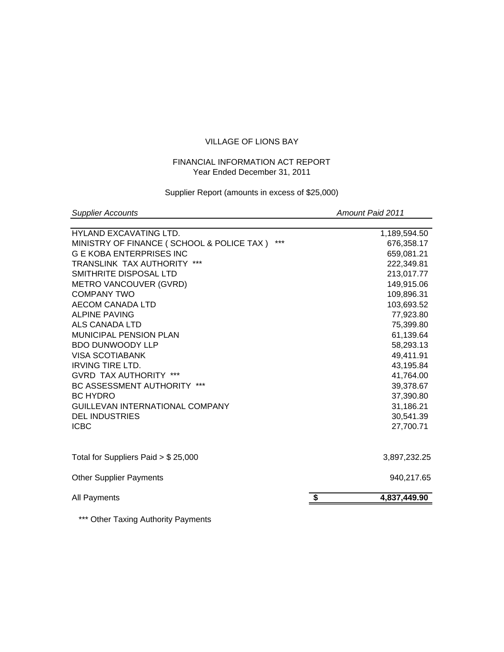# VILLAGE OF LIONS BAY

# FINANCIAL INFORMATION ACT REPORT Year Ended December 31, 2011

### Supplier Report (amounts in excess of \$25,000)

**Supplier Accounts** Amount Paid 2011

| <b>HYLAND EXCAVATING LTD.</b>                    | 1,189,594.50       |
|--------------------------------------------------|--------------------|
| ***<br>MINISTRY OF FINANCE (SCHOOL & POLICE TAX) | 676,358.17         |
| <b>G E KOBA ENTERPRISES INC</b>                  | 659,081.21         |
| <b>TRANSLINK TAX AUTHORITY ***</b>               | 222,349.81         |
| SMITHRITE DISPOSAL LTD                           | 213,017.77         |
| METRO VANCOUVER (GVRD)                           | 149,915.06         |
| COMPANY TWO                                      | 109,896.31         |
| AECOM CANADA LTD                                 | 103,693.52         |
| <b>ALPINE PAVING</b>                             | 77,923.80          |
| ALS CANADA LTD                                   | 75,399.80          |
| <b>MUNICIPAL PENSION PLAN</b>                    | 61,139.64          |
| <b>BDO DUNWOODY LLP</b>                          | 58,293.13          |
| <b>VISA SCOTIABANK</b>                           | 49,411.91          |
| <b>IRVING TIRE LTD.</b>                          | 43,195.84          |
| <b>GVRD TAX AUTHORITY ***</b>                    | 41,764.00          |
| BC ASSESSMENT AUTHORITY ***                      | 39,378.67          |
| <b>BC HYDRO</b>                                  | 37,390.80          |
| <b>GUILLEVAN INTERNATIONAL COMPANY</b>           | 31,186.21          |
| <b>DEL INDUSTRIES</b>                            | 30,541.39          |
| <b>ICBC</b>                                      | 27,700.71          |
|                                                  |                    |
| Total for Suppliers Paid $> $25,000$             | 3,897,232.25       |
| <b>Other Supplier Payments</b>                   | 940,217.65         |
| All Payments                                     | \$<br>4,837,449.90 |
|                                                  |                    |

\*\*\* Other Taxing Authority Payments